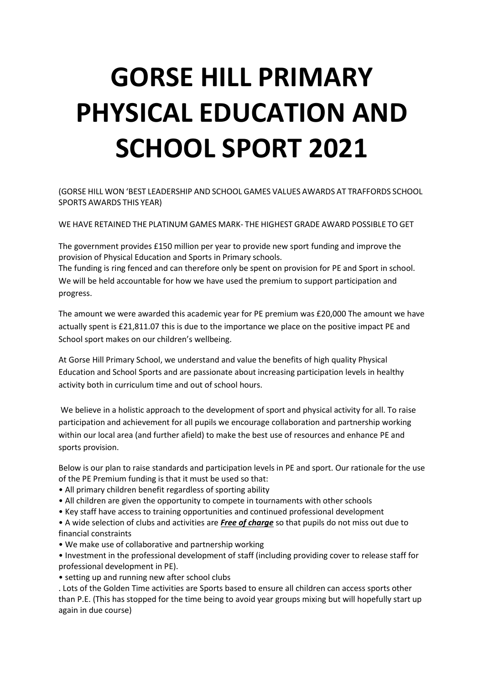# **GORSE HILL PRIMARY PHYSICAL EDUCATION AND SCHOOL SPORT 2021**

(GORSE HILL WON 'BEST LEADERSHIP AND SCHOOL GAMES VALUES AWARDS AT TRAFFORDS SCHOOL SPORTS AWARDS THIS YEAR)

WE HAVE RETAINED THE PLATINUM GAMES MARK- THE HIGHEST GRADE AWARD POSSIBLE TO GET

The government provides £150 million per year to provide new sport funding and improve the provision of Physical Education and Sports in Primary schools.

The funding is ring fenced and can therefore only be spent on provision for PE and Sport in school. We will be held accountable for how we have used the premium to support participation and progress.

The amount we were awarded this academic year for PE premium was £20,000 The amount we have actually spent is £21,811.07 this is due to the importance we place on the positive impact PE and School sport makes on our children's wellbeing.

At Gorse Hill Primary School, we understand and value the benefits of high quality Physical Education and School Sports and are passionate about increasing participation levels in healthy activity both in curriculum time and out of school hours.

We believe in a holistic approach to the development of sport and physical activity for all. To raise participation and achievement for all pupils we encourage collaboration and partnership working within our local area (and further afield) to make the best use of resources and enhance PE and sports provision.

Below is our plan to raise standards and participation levels in PE and sport. Our rationale for the use of the PE Premium funding is that it must be used so that:

- All primary children benefit regardless of sporting ability
- All children are given the opportunity to compete in tournaments with other schools
- Key staff have access to training opportunities and continued professional development

• A wide selection of clubs and activities are *Free of charge* so that pupils do not miss out due to financial constraints

• We make use of collaborative and partnership working

• Investment in the professional development of staff (including providing cover to release staff for professional development in PE).

• setting up and running new after school clubs

. Lots of the Golden Time activities are Sports based to ensure all children can access sports other than P.E. (This has stopped for the time being to avoid year groups mixing but will hopefully start up again in due course)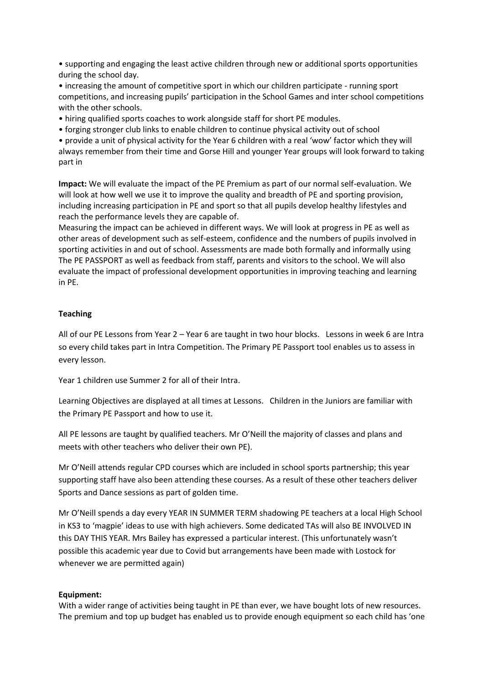• supporting and engaging the least active children through new or additional sports opportunities during the school day.

• increasing the amount of competitive sport in which our children participate - running sport competitions, and increasing pupils' participation in the School Games and inter school competitions with the other schools.

• hiring qualified sports coaches to work alongside staff for short PE modules.

• forging stronger club links to enable children to continue physical activity out of school

• provide a unit of physical activity for the Year 6 children with a real 'wow' factor which they will always remember from their time and Gorse Hill and younger Year groups will look forward to taking part in

**Impact:** We will evaluate the impact of the PE Premium as part of our normal self-evaluation. We will look at how well we use it to improve the quality and breadth of PE and sporting provision, including increasing participation in PE and sport so that all pupils develop healthy lifestyles and reach the performance levels they are capable of.

Measuring the impact can be achieved in different ways. We will look at progress in PE as well as other areas of development such as self-esteem, confidence and the numbers of pupils involved in sporting activities in and out of school. Assessments are made both formally and informally using The PE PASSPORT as well as feedback from staff, parents and visitors to the school. We will also evaluate the impact of professional development opportunities in improving teaching and learning in PE.

# **Teaching**

All of our PE Lessons from Year 2 – Year 6 are taught in two hour blocks. Lessons in week 6 are Intra so every child takes part in Intra Competition. The Primary PE Passport tool enables us to assess in every lesson.

Year 1 children use Summer 2 for all of their Intra.

Learning Objectives are displayed at all times at Lessons. Children in the Juniors are familiar with the Primary PE Passport and how to use it.

All PE lessons are taught by qualified teachers. Mr O'Neill the majority of classes and plans and meets with other teachers who deliver their own PE).

Mr O'Neill attends regular CPD courses which are included in school sports partnership; this year supporting staff have also been attending these courses. As a result of these other teachers deliver Sports and Dance sessions as part of golden time.

Mr O'Neill spends a day every YEAR IN SUMMER TERM shadowing PE teachers at a local High School in KS3 to 'magpie' ideas to use with high achievers. Some dedicated TAs will also BE INVOLVED IN this DAY THIS YEAR. Mrs Bailey has expressed a particular interest. (This unfortunately wasn't possible this academic year due to Covid but arrangements have been made with Lostock for whenever we are permitted again)

## **Equipment:**

With a wider range of activities being taught in PE than ever, we have bought lots of new resources. The premium and top up budget has enabled us to provide enough equipment so each child has 'one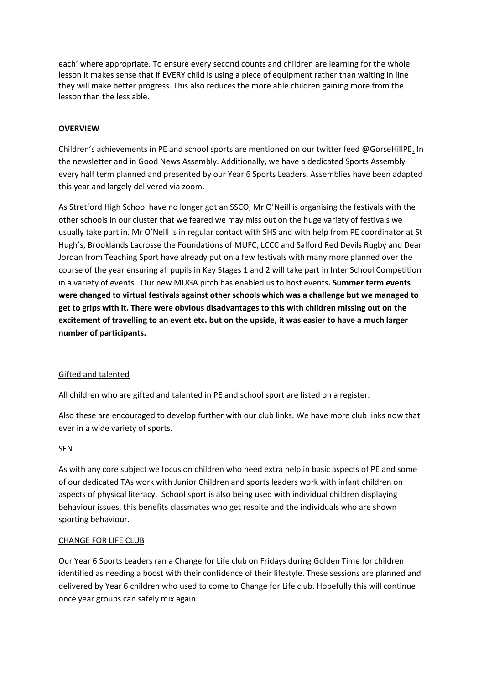each' where appropriate. To ensure every second counts and children are learning for the whole lesson it makes sense that if EVERY child is using a piece of equipment rather than waiting in line they will make better progress. This also reduces the more able children gaining more from the lesson than the less able.

# **OVERVIEW**

Children's achievements in PE and school sports are mentioned on our twitter feed @GorseHillPE. In the newsletter and in Good News Assembly. Additionally, we have a dedicated Sports Assembly every half term planned and presented by our Year 6 Sports Leaders. Assemblies have been adapted this year and largely delivered via zoom.

As Stretford High School have no longer got an SSCO, Mr O'Neill is organising the festivals with the other schools in our cluster that we feared we may miss out on the huge variety of festivals we usually take part in. Mr O'Neill is in regular contact with SHS and with help from PE coordinator at St Hugh's, Brooklands Lacrosse the Foundations of MUFC, LCCC and Salford Red Devils Rugby and Dean Jordan from Teaching Sport have already put on a few festivals with many more planned over the course of the year ensuring all pupils in Key Stages 1 and 2 will take part in Inter School Competition in a variety of events. Our new MUGA pitch has enabled us to host events**. Summer term events were changed to virtual festivals against other schools which was a challenge but we managed to get to grips with it. There were obvious disadvantages to this with children missing out on the excitement of travelling to an event etc. but on the upside, it was easier to have a much larger number of participants.** 

## Gifted and talented

All children who are gifted and talented in PE and school sport are listed on a register.

Also these are encouraged to develop further with our club links. We have more club links now that ever in a wide variety of sports.

## SEN

As with any core subject we focus on children who need extra help in basic aspects of PE and some of our dedicated TAs work with Junior Children and sports leaders work with infant children on aspects of physical literacy. School sport is also being used with individual children displaying behaviour issues, this benefits classmates who get respite and the individuals who are shown sporting behaviour.

## CHANGE FOR LIFE CLUB

Our Year 6 Sports Leaders ran a Change for Life club on Fridays during Golden Time for children identified as needing a boost with their confidence of their lifestyle. These sessions are planned and delivered by Year 6 children who used to come to Change for Life club. Hopefully this will continue once year groups can safely mix again.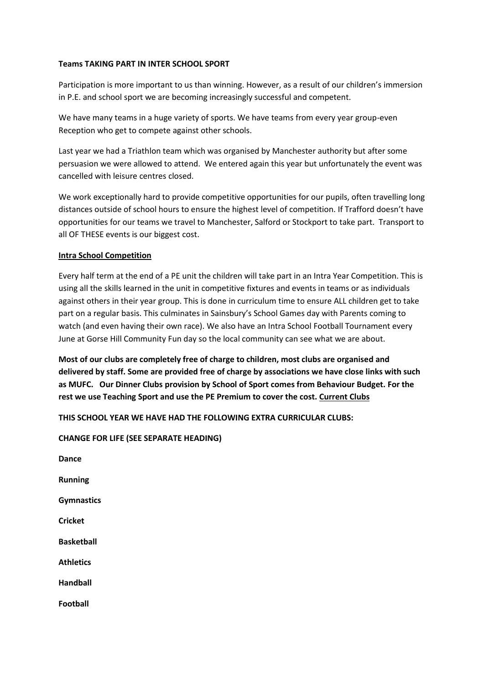## **Teams TAKING PART IN INTER SCHOOL SPORT**

Participation is more important to us than winning. However, as a result of our children's immersion in P.E. and school sport we are becoming increasingly successful and competent.

We have many teams in a huge variety of sports. We have teams from every year group-even Reception who get to compete against other schools.

Last year we had a Triathlon team which was organised by Manchester authority but after some persuasion we were allowed to attend. We entered again this year but unfortunately the event was cancelled with leisure centres closed.

We work exceptionally hard to provide competitive opportunities for our pupils, often travelling long distances outside of school hours to ensure the highest level of competition. If Trafford doesn't have opportunities for our teams we travel to Manchester, Salford or Stockport to take part. Transport to all OF THESE events is our biggest cost.

# **Intra School Competition**

Every half term at the end of a PE unit the children will take part in an Intra Year Competition. This is using all the skills learned in the unit in competitive fixtures and events in teams or as individuals against others in their year group. This is done in curriculum time to ensure ALL children get to take part on a regular basis. This culminates in Sainsbury's School Games day with Parents coming to watch (and even having their own race). We also have an Intra School Football Tournament every June at Gorse Hill Community Fun day so the local community can see what we are about.

**Most of our clubs are completely free of charge to children, most clubs are organised and delivered by staff. Some are provided free of charge by associations we have close links with such as MUFC. Our Dinner Clubs provision by School of Sport comes from Behaviour Budget. For the rest we use Teaching Sport and use the PE Premium to cover the cost. Current Clubs**

**THIS SCHOOL YEAR WE HAVE HAD THE FOLLOWING EXTRA CURRICULAR CLUBS:**

**CHANGE FOR LIFE (SEE SEPARATE HEADING)**

**Dance Running Gymnastics Cricket Basketball Athletics Handball Football**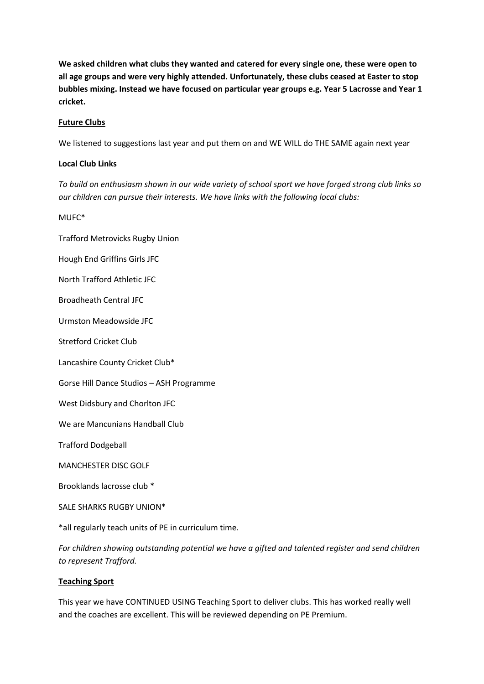**We asked children what clubs they wanted and catered for every single one, these were open to all age groups and were very highly attended. Unfortunately, these clubs ceased at Easter to stop bubbles mixing. Instead we have focused on particular year groups e.g. Year 5 Lacrosse and Year 1 cricket.** 

# **Future Clubs**

We listened to suggestions last year and put them on and WE WILL do THE SAME again next year

## **Local Club Links**

*To build on enthusiasm shown in our wide variety of school sport we have forged strong club links so our children can pursue their interests. We have links with the following local clubs:* 

MUFC\*

Trafford Metrovicks Rugby Union

Hough End Griffins Girls JFC

North Trafford Athletic JFC

Broadheath Central JFC

Urmston Meadowside JFC

Stretford Cricket Club

Lancashire County Cricket Club\*

Gorse Hill Dance Studios – ASH Programme

West Didsbury and Chorlton JFC

We are Mancunians Handball Club

Trafford Dodgeball

MANCHESTER DISC GOLF

Brooklands lacrosse club \*

SALE SHARKS RUGBY UNION\*

\*all regularly teach units of PE in curriculum time.

*For children showing outstanding potential we have a gifted and talented register and send children to represent Trafford.* 

## **Teaching Sport**

This year we have CONTINUED USING Teaching Sport to deliver clubs. This has worked really well and the coaches are excellent. This will be reviewed depending on PE Premium.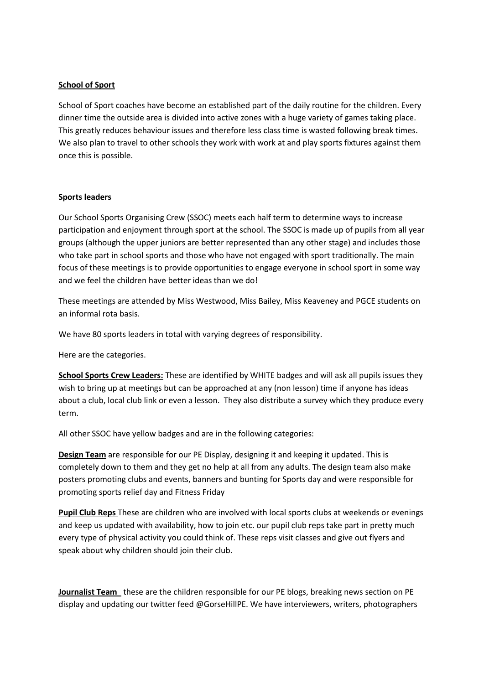## **School of Sport**

School of Sport coaches have become an established part of the daily routine for the children. Every dinner time the outside area is divided into active zones with a huge variety of games taking place. This greatly reduces behaviour issues and therefore less class time is wasted following break times. We also plan to travel to other schools they work with work at and play sports fixtures against them once this is possible.

## **Sports leaders**

Our School Sports Organising Crew (SSOC) meets each half term to determine ways to increase participation and enjoyment through sport at the school. The SSOC is made up of pupils from all year groups (although the upper juniors are better represented than any other stage) and includes those who take part in school sports and those who have not engaged with sport traditionally. The main focus of these meetings is to provide opportunities to engage everyone in school sport in some way and we feel the children have better ideas than we do!

These meetings are attended by Miss Westwood, Miss Bailey, Miss Keaveney and PGCE students on an informal rota basis.

We have 80 sports leaders in total with varying degrees of responsibility.

Here are the categories.

**School Sports Crew Leaders:** These are identified by WHITE badges and will ask all pupils issues they wish to bring up at meetings but can be approached at any (non lesson) time if anyone has ideas about a club, local club link or even a lesson. They also distribute a survey which they produce every term.

All other SSOC have yellow badges and are in the following categories:

**Design Team** are responsible for our PE Display, designing it and keeping it updated. This is completely down to them and they get no help at all from any adults. The design team also make posters promoting clubs and events, banners and bunting for Sports day and were responsible for promoting sports relief day and Fitness Friday

**Pupil Club Reps** These are children who are involved with local sports clubs at weekends or evenings and keep us updated with availability, how to join etc. our pupil club reps take part in pretty much every type of physical activity you could think of. These reps visit classes and give out flyers and speak about why children should join their club.

**Journalist Team** these are the children responsible for our PE blogs, breaking news section on PE display and updating our twitter feed @GorseHillPE. We have interviewers, writers, photographers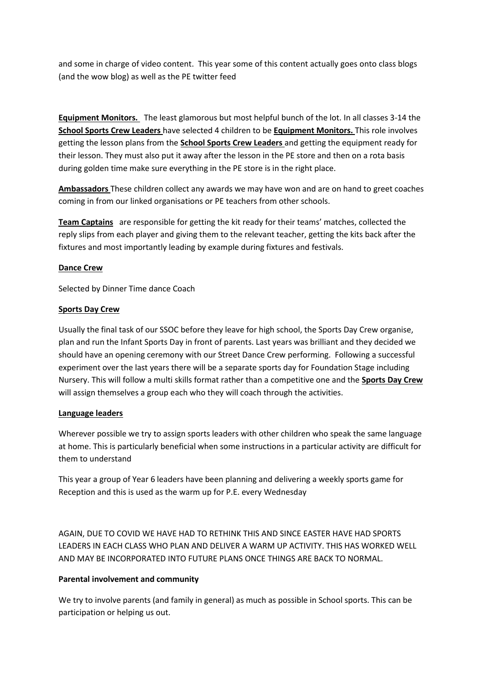and some in charge of video content. This year some of this content actually goes onto class blogs (and the wow blog) as well as the PE twitter feed

**Equipment Monitors.** The least glamorous but most helpful bunch of the lot. In all classes 3-14 the **School Sports Crew Leaders** have selected 4 children to be **Equipment Monitors.** This role involves getting the lesson plans from the **School Sports Crew Leaders** and getting the equipment ready for their lesson. They must also put it away after the lesson in the PE store and then on a rota basis during golden time make sure everything in the PE store is in the right place.

**Ambassadors** These children collect any awards we may have won and are on hand to greet coaches coming in from our linked organisations or PE teachers from other schools.

**Team Captains** are responsible for getting the kit ready for their teams' matches, collected the reply slips from each player and giving them to the relevant teacher, getting the kits back after the fixtures and most importantly leading by example during fixtures and festivals.

# **Dance Crew**

Selected by Dinner Time dance Coach

# **Sports Day Crew**

Usually the final task of our SSOC before they leave for high school, the Sports Day Crew organise, plan and run the Infant Sports Day in front of parents. Last years was brilliant and they decided we should have an opening ceremony with our Street Dance Crew performing. Following a successful experiment over the last years there will be a separate sports day for Foundation Stage including Nursery. This will follow a multi skills format rather than a competitive one and the **Sports Day Crew**  will assign themselves a group each who they will coach through the activities.

## **Language leaders**

Wherever possible we try to assign sports leaders with other children who speak the same language at home. This is particularly beneficial when some instructions in a particular activity are difficult for them to understand

This year a group of Year 6 leaders have been planning and delivering a weekly sports game for Reception and this is used as the warm up for P.E. every Wednesday

AGAIN, DUE TO COVID WE HAVE HAD TO RETHINK THIS AND SINCE EASTER HAVE HAD SPORTS LEADERS IN EACH CLASS WHO PLAN AND DELIVER A WARM UP ACTIVITY. THIS HAS WORKED WELL AND MAY BE INCORPORATED INTO FUTURE PLANS ONCE THINGS ARE BACK TO NORMAL.

# **Parental involvement and community**

We try to involve parents (and family in general) as much as possible in School sports. This can be participation or helping us out.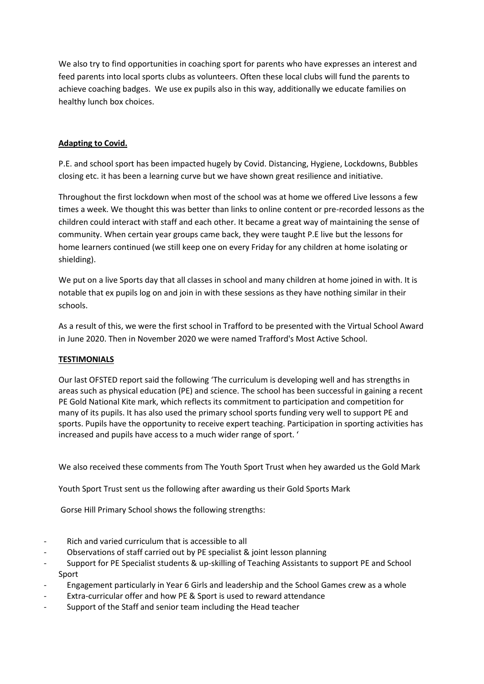We also try to find opportunities in coaching sport for parents who have expresses an interest and feed parents into local sports clubs as volunteers. Often these local clubs will fund the parents to achieve coaching badges. We use ex pupils also in this way, additionally we educate families on healthy lunch box choices.

# **Adapting to Covid.**

P.E. and school sport has been impacted hugely by Covid. Distancing, Hygiene, Lockdowns, Bubbles closing etc. it has been a learning curve but we have shown great resilience and initiative.

Throughout the first lockdown when most of the school was at home we offered Live lessons a few times a week. We thought this was better than links to online content or pre-recorded lessons as the children could interact with staff and each other. It became a great way of maintaining the sense of community. When certain year groups came back, they were taught P.E live but the lessons for home learners continued (we still keep one on every Friday for any children at home isolating or shielding).

We put on a live Sports day that all classes in school and many children at home joined in with. It is notable that ex pupils log on and join in with these sessions as they have nothing similar in their schools.

As a result of this, we were the first school in Trafford to be presented with the Virtual School Award in June 2020. Then in November 2020 we were named Trafford's Most Active School.

# **TESTIMONIALS**

Our last OFSTED report said the following 'The curriculum is developing well and has strengths in areas such as physical education (PE) and science. The school has been successful in gaining a recent PE Gold National Kite mark, which reflects its commitment to participation and competition for many of its pupils. It has also used the primary school sports funding very well to support PE and sports. Pupils have the opportunity to receive expert teaching. Participation in sporting activities has increased and pupils have access to a much wider range of sport. '

We also received these comments from The Youth Sport Trust when hey awarded us the Gold Mark

Youth Sport Trust sent us the following after awarding us their Gold Sports Mark

Gorse Hill Primary School shows the following strengths:

- Rich and varied curriculum that is accessible to all
- Observations of staff carried out by PE specialist & joint lesson planning
- Support for PE Specialist students & up-skilling of Teaching Assistants to support PE and School Sport
- Engagement particularly in Year 6 Girls and leadership and the School Games crew as a whole
- Extra-curricular offer and how PE & Sport is used to reward attendance
- Support of the Staff and senior team including the Head teacher